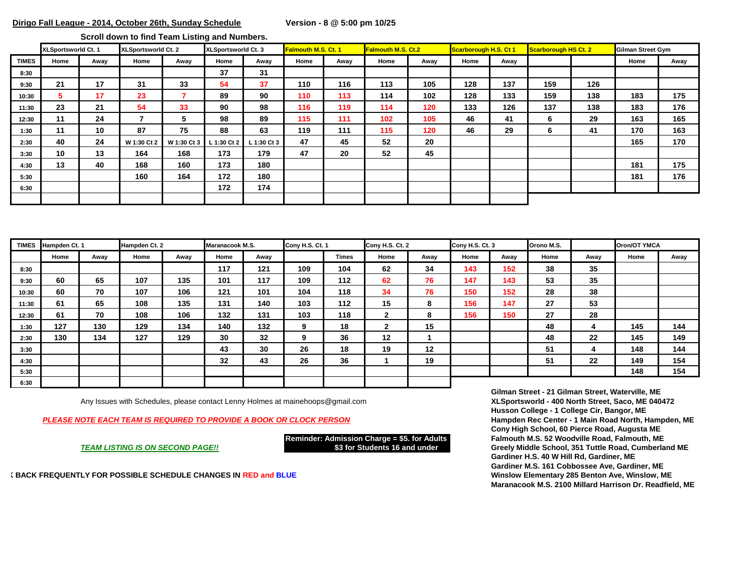**Scroll down to find Team Listing and Numbers.** 

|              | XLSportsworld Ct. 1 |      | XLSportsworld Ct. 2 |             | XLSportsworld Ct. 3 |             | <b>Falmouth M.S. Ct. 1</b> |      | <b>Falmouth M.S. Ct.2</b> |      | Scarborough H.S. Ct 1 |      | Scarborough HS Ct. 2 |     | Gilman Street Gym |      |
|--------------|---------------------|------|---------------------|-------------|---------------------|-------------|----------------------------|------|---------------------------|------|-----------------------|------|----------------------|-----|-------------------|------|
| <b>TIMES</b> | Home                | Away | Home                | Away        | Home                | Away        | Home                       | Away | Home                      | Away | Home                  | Away |                      |     | Home              | Away |
| 8:30         |                     |      |                     |             | 37                  | 31          |                            |      |                           |      |                       |      |                      |     |                   |      |
| 9:30         | 21                  | 17   | 31                  | 33          | 54                  | 37          | 110                        | 116  | 113                       | 105  | 128                   | 137  | 159                  | 126 |                   |      |
| 10:30        | 5                   | 17   | 23                  |             | 89                  | 90          | 110                        | 113  | 114                       | 102  | 128                   | 133  | 159                  | 138 | 183               | 175  |
| 11:30        | 23                  | 21   | 54                  | 33          | 90                  | 98          | 116                        | 119  | 114                       | 120  | 133                   | 126  | 137                  | 138 | 183               | 176  |
| 12:30        | 11                  | 24   |                     | 5           | 98                  | 89          | 115                        | 111  | 102                       | 105  | 46                    | 41   | 6                    | 29  | 163               | 165  |
| 1:30         | 11                  | 10   | 87                  | 75          | 88                  | 63          | 119                        | 111  | 115                       | 120  | 46                    | 29   | 6                    | 41  | 170               | 163  |
| 2:30         | 40                  | 24   | W 1:30 Ct 2         | W 1:30 Ct 3 | L 1:30 Ct 2         | L 1:30 Ct 3 | 47                         | 45   | 52                        | 20   |                       |      |                      |     | 165               | 170  |
| 3:30         | 10                  | 13   | 164                 | 168         | 173                 | 179         | 47                         | 20   | 52                        | 45   |                       |      |                      |     |                   |      |
| 4:30         | 13                  | 40   | 168                 | 160         | 173                 | 180         |                            |      |                           |      |                       |      |                      |     | 181               | 175  |
| 5:30         |                     |      | 160                 | 164         | 172                 | 180         |                            |      |                           |      |                       |      |                      |     | 181               | 176  |
| 6:30         |                     |      |                     |             | 172                 | 174         |                            |      |                           |      |                       |      |                      |     |                   |      |
|              |                     |      |                     |             |                     |             |                            |      |                           |      |                       |      |                      |     |                   |      |

| <b>TIMES</b> | Hampden Ct. 1 |      | Hampden Ct. 2 |      | Maranacook M.S. |      | Cony H.S. Ct. 1 |       | Cony H.S. Ct. 2 |      | Cony H.S. Ct. 3 |      | Orono M.S. |      | Oron/OT YMCA |      |
|--------------|---------------|------|---------------|------|-----------------|------|-----------------|-------|-----------------|------|-----------------|------|------------|------|--------------|------|
|              | Home          | Away | Home          | Away | Home            | Away |                 | Times | Home            | Away | Home            | Away | Home       | Away | Home         | Away |
| 8:30         |               |      |               |      | 117             | 121  | 109             | 104   | 62              | 34   | 143             | 152  | 38         | 35   |              |      |
| 9:30         | 60            | 65   | 107           | 135  | 101             | 117  | 109             | 112   | 62              | 76   | 147             | 143  | 53         | 35   |              |      |
| 10:30        | 60            | 70   | 107           | 106  | 121             | 101  | 104             | 118   | 34              | 76   | 150             | 152  | 28         | 38   |              |      |
| 11:30        | 61            | 65   | 108           | 135  | 131             | 140  | 103             | 112   | 15              | 8    | 156             | 147  | 27         | 53   |              |      |
| 12:30        | 61            | 70   | 108           | 106  | 132             | 131  | 103             | 118   | $\mathbf{2}$    | 8    | 156             | 150  | 27         | 28   |              |      |
| 1:30         | 127           | 130  | 129           | 134  | 140             | 132  | 9               | 18    | $\mathbf{2}$    | 15   |                 |      | 48         | 4    | 145          | 144  |
| 2:30         | 130           | 134  | 127           | 129  | 30              | 32   | 9               | 36    | $12 \,$         |      |                 |      | 48         | 22   | 145          | 149  |
| 3:30         |               |      |               |      | 43              | 30   | 26              | 18    | 19              | 12   |                 |      | 51         | 4    | 148          | 144  |
| 4:30         |               |      |               |      | 32              | 43   | 26              | 36    |                 | 19   |                 |      | 51         | 22   | 149          | 154  |
| 5:30         |               |      |               |      |                 |      |                 |       |                 |      |                 |      |            |      | 148          | 154  |
| 6:30         |               |      |               |      |                 |      |                 |       |                 |      |                 |      |            |      |              |      |

Any Issues with Schedules, please contact Lenny Holmes at mainehoops@gmail.com

*PLEASE NOTE EACH TEAM IS REQUIRED TO PROVIDE A BOOK OR CLOCK PERSON* **Hampden Rec Center - 1 Main Road North, Hampden, ME**

**CHECK BACK FREQUENTLY FOR POSSIBLE SCHEDULE CHANGES IN RED and BLUE Winslow Elementary 285 Benton Ave, Winslow, ME**

**Gilman Street - 21 Gilman Street, Waterville, ME Husson College - 1 College Cir, Bangor, ME Cony High School, 60 Pierce Road, Augusta ME Reminder: Admission Charge = \$5. for Adults Falmouth M.S. 52 Woodville Road, Falmouth, ME** *TEAM LISTING IS ON SECOND PAGE!!* **\$3 for Students 16 and under Greely Middle School, 351 Tuttle Road, Cumberland ME Gardiner H.S. 40 W Hill Rd, Gardiner, ME Gardiner M.S. 161 Cobbossee Ave, Gardiner, ME Maranacook M.S. 2100 Millard Harrison Dr. Readfield, ME**